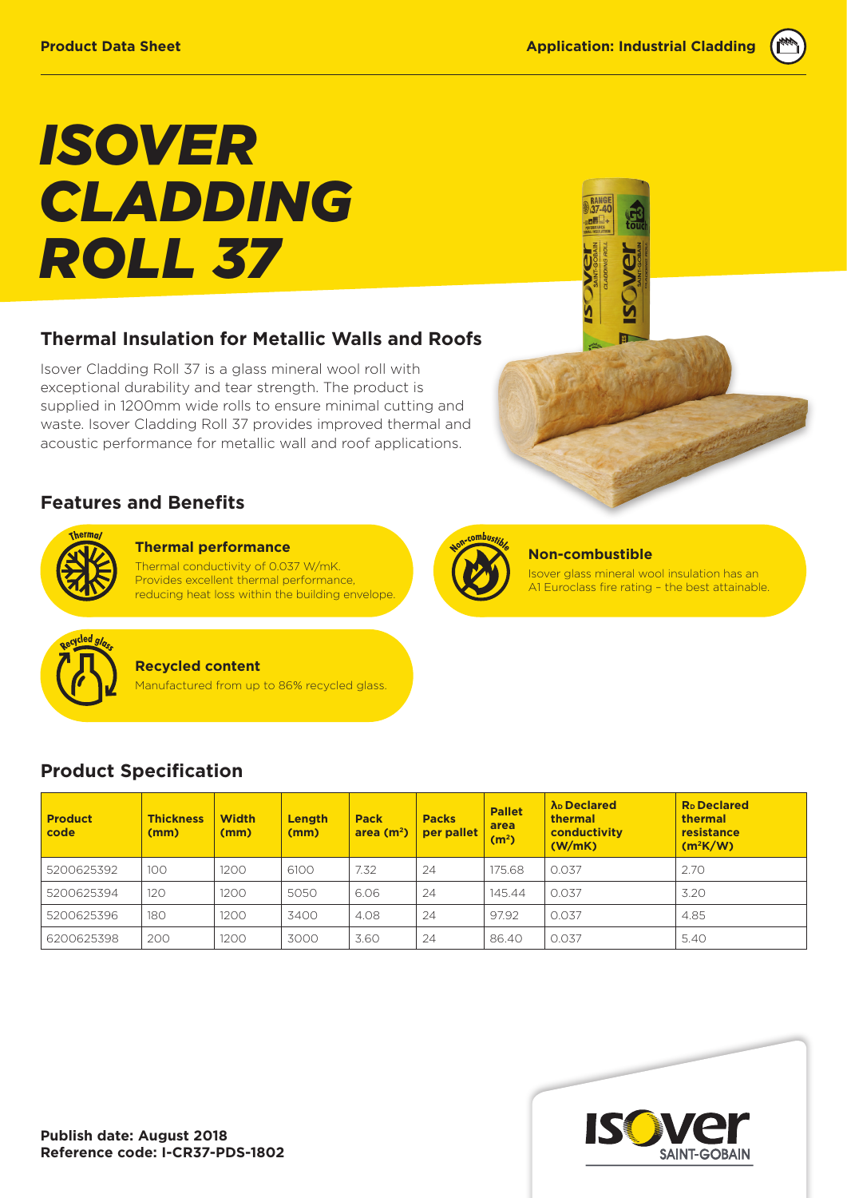# *ISOVER CLADDING ROLL 37*

## **Thermal Insulation for Metallic Walls and Roofs**

Isover Cladding Roll 37 is a glass mineral wool roll with exceptional durability and tear strength. The product is supplied in 1200mm wide rolls to ensure minimal cutting and waste. Isover Cladding Roll 37 provides improved thermal and acoustic performance for metallic wall and roof applications.

### **Features and Benefits**



**Thermal performance**  Thermal conductivity of 0.037 W/mK. Provides excellent thermal performance, reducing heat loss within the building envelope.



#### **Non-combustible**

Isover glass mineral wool insulation has an A1 Euroclass fire rating – the best attainable.



#### **Recycled content**

Manufactured from up to 86% recycled glass.

## **Product Specification**

| <b>Product</b><br>code | <b>Thickness</b><br>(mm) | <b>Width</b><br>(mm) | Length<br>(mm) | <b>Pack</b><br>area $(m2)$ | <b>Packs</b><br>per pallet | <b>Pallet</b><br>area<br>(m <sup>2</sup> ) | λ <sub>D</sub> Declared<br><b>thermal</b><br>conductivity<br>(W/mK) | <b>R</b> <sub>D</sub> Declared<br>thermal<br>resistance<br>$(m^2K/W)$ |
|------------------------|--------------------------|----------------------|----------------|----------------------------|----------------------------|--------------------------------------------|---------------------------------------------------------------------|-----------------------------------------------------------------------|
| 5200625392             | 100                      | 1200                 | 6100           | 7.32                       | 24                         | 175.68                                     | 0.037                                                               | 2.70                                                                  |
| 5200625394             | 120                      | 1200                 | 5050           | 6.06                       | 24                         | 145.44                                     | 0.037                                                               | 3.20                                                                  |
| 5200625396             | 180                      | 1200                 | 3400           | 4.08                       | 24                         | 97.92                                      | 0.037                                                               | 4.85                                                                  |
| 6200625398             | 200                      | 1200                 | 3000           | 3.60                       | 24                         | 86.40                                      | 0.037                                                               | 5.40                                                                  |